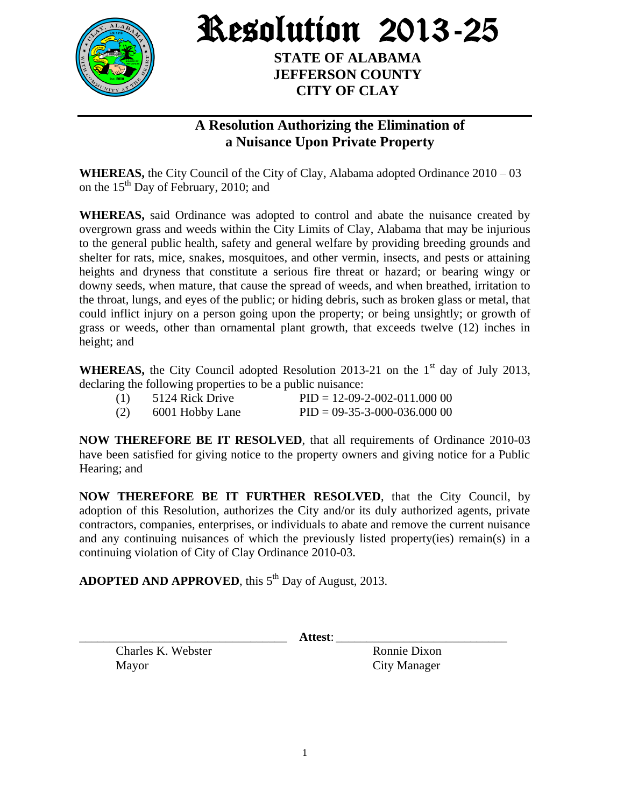

Resolution 2013-25

**STATE OF ALABAMA JEFFERSON COUNTY CITY OF CLAY**

## **A Resolution Authorizing the Elimination of a Nuisance Upon Private Property**

**WHEREAS,** the City Council of the City of Clay, Alabama adopted Ordinance 2010 – 03 on the  $15<sup>th</sup>$  Day of February, 2010; and

**WHEREAS,** said Ordinance was adopted to control and abate the nuisance created by overgrown grass and weeds within the City Limits of Clay, Alabama that may be injurious to the general public health, safety and general welfare by providing breeding grounds and shelter for rats, mice, snakes, mosquitoes, and other vermin, insects, and pests or attaining heights and dryness that constitute a serious fire threat or hazard; or bearing wingy or downy seeds, when mature, that cause the spread of weeds, and when breathed, irritation to the throat, lungs, and eyes of the public; or hiding debris, such as broken glass or metal, that could inflict injury on a person going upon the property; or being unsightly; or growth of grass or weeds, other than ornamental plant growth, that exceeds twelve (12) inches in height; and

**WHEREAS,** the City Council adopted Resolution 2013-21 on the  $1<sup>st</sup>$  day of July 2013, declaring the following properties to be a public nuisance:

| (1) | 5124 Rick Drive | $PID = 12-09-2-002-011,000,00$ |
|-----|-----------------|--------------------------------|
| (2) | 6001 Hobby Lane | $PID = 09-35-3-000-036.00000$  |

**NOW THEREFORE BE IT RESOLVED**, that all requirements of Ordinance 2010-03 have been satisfied for giving notice to the property owners and giving notice for a Public Hearing; and

**NOW THEREFORE BE IT FURTHER RESOLVED**, that the City Council, by adoption of this Resolution, authorizes the City and/or its duly authorized agents, private contractors, companies, enterprises, or individuals to abate and remove the current nuisance and any continuing nuisances of which the previously listed property(ies) remain(s) in a continuing violation of City of Clay Ordinance 2010-03.

ADOPTED AND APPROVED, this 5<sup>th</sup> Day of August, 2013.

Charles K. Webster Ronnie Dixon Mayor City Manager

\_\_\_\_\_\_\_\_\_\_\_\_\_\_\_\_\_\_\_\_\_\_\_\_\_\_\_\_\_\_\_\_\_\_ **Attest**: \_\_\_\_\_\_\_\_\_\_\_\_\_\_\_\_\_\_\_\_\_\_\_\_\_\_\_\_